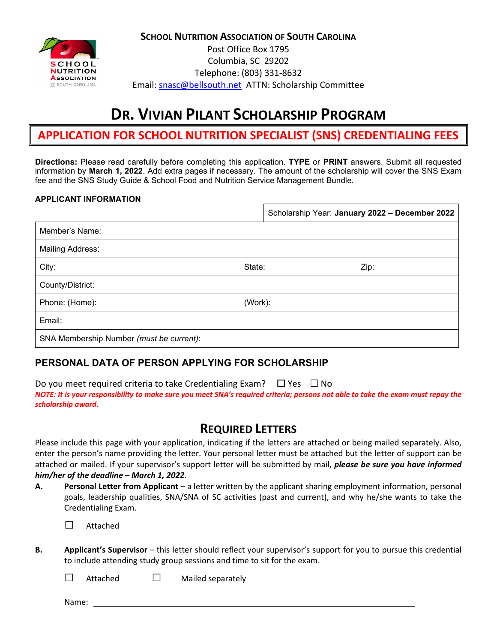**SCHOOL NUTRITION ASSOCIATION OF SOUTH CAROLINA**



Post Office Box 1795 Columbia, SC 29202 Telephone: (803) 331-8632 Email: [snasc@bellsouth.net](mailto:snasc@bellsouth.net) ATTN: Scholarship Committee

# **DR. VIVIAN PILANT SCHOLARSHIP PROGRAM**

## **APPLICATION FOR SCHOOL NUTRITION SPECIALIST (SNS) CREDENTIALING FEES**

**Directions:** Please read carefully before completing this application. **TYPE** or **PRINT** answers. Submit all requested information by **March 1, 2022**. Add extra pages if necessary. The amount of the scholarship will cover the SNS Exam fee and the SNS Study Guide & School Food and Nutrition Service Management Bundle.

#### **APPLICANT INFORMATION**

|                                          |         | Scholarship Year: January 2022 - December 2022 |
|------------------------------------------|---------|------------------------------------------------|
| Member's Name:                           |         |                                                |
| <b>Mailing Address:</b>                  |         |                                                |
| City:                                    | State:  | Zip:                                           |
| County/District:                         |         |                                                |
| Phone: (Home):                           | (Work): |                                                |
| Email:                                   |         |                                                |
| SNA Membership Number (must be current): |         |                                                |

### **PERSONAL DATA OF PERSON APPLYING FOR SCHOLARSHIP**

Do you meet required criteria to take Credentialing Exam?  $\Box$  Yes  $\Box$  No *NOTE: It is your responsibility to make sure you meet SNA's required criteria; persons not able to take the exam must repay the scholarship award.*

## **REQUIRED LETTERS**

Please include this page with your application, indicating if the letters are attached or being mailed separately. Also, enter the person's name providing the letter. Your personal letter must be attached but the letter of support can be attached or mailed. If your supervisor's support letter will be submitted by mail, *please be sure you have informed him/her of the deadline* – *March 1, 2022*.

**A. Personal Letter from Applicant** – a letter written by the applicant sharing employment information, personal goals, leadership qualities, SNA/SNA of SC activities (past and current), and why he/she wants to take the Credentialing Exam.

**□** Attached

**B. Applicant's Supervisor** – this letter should reflect your supervisor's support for you to pursue this credential to include attending study group sessions and time to sit for the exam.

**□** Attached **□** Mailed separately

Name: